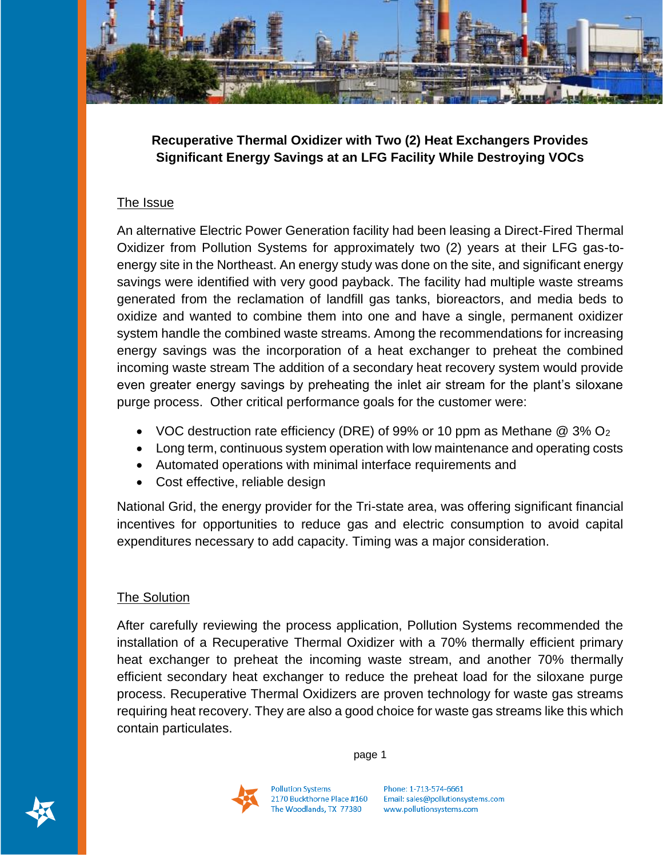

**Recuperative Thermal Oxidizer with Two (2) Heat Exchangers Provides Significant Energy Savings at an LFG Facility While Destroying VOCs** 

## The Issue

An alternative Electric Power Generation facility had been leasing a Direct-Fired Thermal Oxidizer from Pollution Systems for approximately two (2) years at their LFG gas-toenergy site in the Northeast. An energy study was done on the site, and significant energy savings were identified with very good payback. The facility had multiple waste streams generated from the reclamation of landfill gas tanks, bioreactors, and media beds to oxidize and wanted to combine them into one and have a single, permanent oxidizer system handle the combined waste streams. Among the recommendations for increasing energy savings was the incorporation of a heat exchanger to preheat the combined incoming waste stream The addition of a secondary heat recovery system would provide even greater energy savings by preheating the inlet air stream for the plant's siloxane purge process. Other critical performance goals for the customer were:

- VOC destruction rate efficiency (DRE) of 99% or 10 ppm as Methane  $@$  3%  $O<sub>2</sub>$
- Long term, continuous system operation with low maintenance and operating costs
- Automated operations with minimal interface requirements and
- Cost effective, reliable design

National Grid, the energy provider for the Tri-state area, was offering significant financial incentives for opportunities to reduce gas and electric consumption to avoid capital expenditures necessary to add capacity. Timing was a major consideration.

## The Solution

After carefully reviewing the process application, Pollution Systems recommended the installation of a Recuperative Thermal Oxidizer with a 70% thermally efficient primary heat exchanger to preheat the incoming waste stream, and another 70% thermally efficient secondary heat exchanger to reduce the preheat load for the siloxane purge process. Recuperative Thermal Oxidizers are proven technology for waste gas streams requiring heat recovery. They are also a good choice for waste gas streams like this which contain particulates.

page 1

Phone: 1-713-574-6661 Email: sales@pollutionsystems.com www.pollutionsystems.com